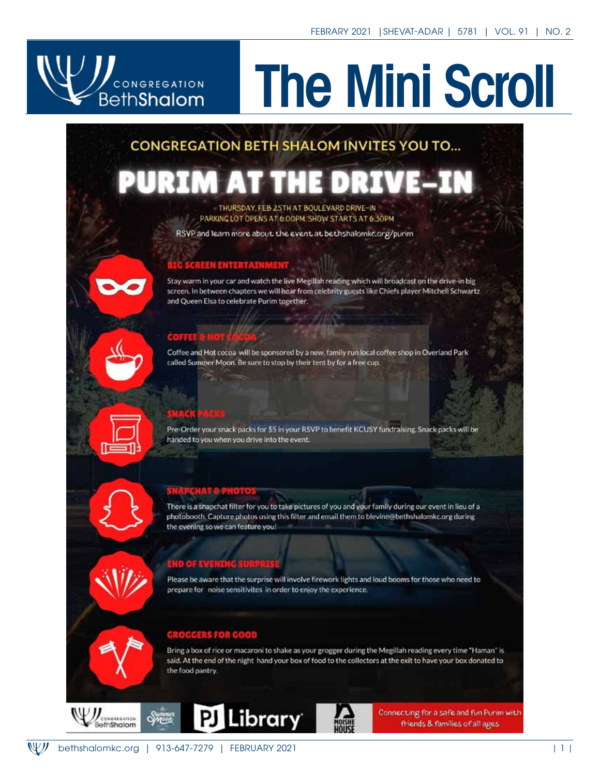# CONGREGATION

# The Mini Scroll

# **CONGREGATION BETH SHALOM INVITES YOU TO...**

#### THURSDAY, FEB 25TH AT BOULEVARD DRIVE-IN PARKING LOT OPENS AT 6:00PM. SHOW STARTS AT 6:30PM

RSVP and learn more about the event at bethshalomkc.org/purim



Coffee and Hot cocoa will be sponsored by a new, family run local coffee shop in Overland Park called Summer Moon. Be sure to stop by their tent by for a free cup.

Pre-Order your snack packs for \$5 in your RSVP to benefit KCUSY fundraising. Snack packs will be handed to you when you drive into the event.

There is a snapchat filter for you to take pictures of you and your family during our event in lieu of a photobooth. Capture photos using this filter and email them to blevine@bethshalomkc.org during the evening so we can feature you!

Please be aware that the surprise will involve firework lights and loud booms for those who need to prepare for noise sensitivites in order to enjoy the experience.

#### **GROGGERS FOR GOOD**

Bring a box of rice or macaroni to shake as your grogger during the Megillah reading every time "Haman" is said. At the end of the night hand your box of food to the collectors at the exit to have your box donated to the food pantry.







Connecting for a safe and fun Purim with friends & families of all ages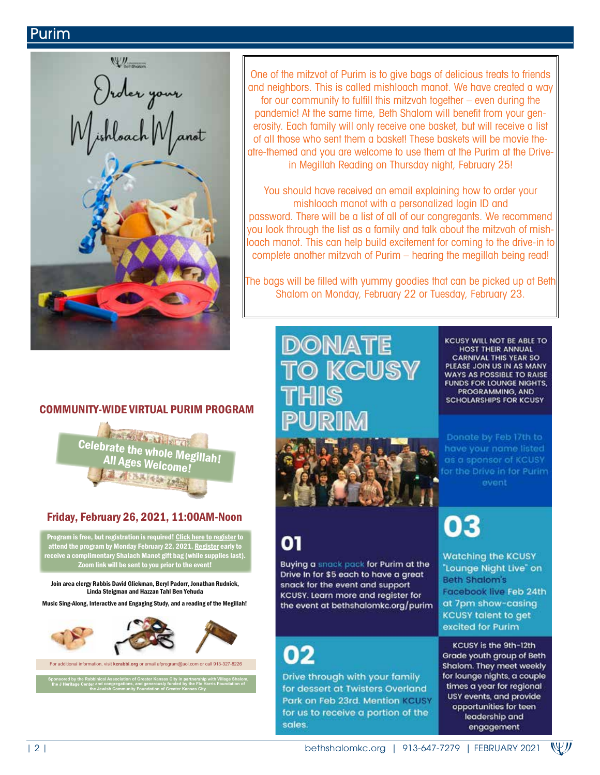#### Purim

Order your<br>(ishloach Mai

One of the mitzvot of Purim is to give bags of delicious treats to friends and neighbors. This is called mishloach manot. We have created a way for our community to fulfill this mitzvah together – even during the pandemic! At the same time, Beth Shalom will benefit from your generosity. Each family will only receive one basket, but will receive a list of all those who sent them a basket! These baskets will be movie theatre-themed and you are welcome to use them at the Purim at the Drivein Megillah Reading on Thursday night, February 25!

You should have received an email explaining how to order your mishloach manot with a personalized login ID and password. There will be a list of all of our congregants. We recommend you look through the list as a family and talk about the mitzvah of mishloach manot. This can help build excitement for coming to the drive-in to complete another mitzvah of Purim – hearing the megillah being read!

The bags will be filled with yummy goodies that can be picked up at Beth Shalom on Monday, February 22 or Tuesday, February 23.

COMMUNITY-WIDE VIRTUAL PURIM PROGRAM

Celebrate the whole Megillah! All Ages Welcome!

#### Friday, February 26, 2021, 11:00AM-Noon

Join area clergy Rabbis David Glickman, Beryl Padorr, Jonathan Rudnick, Linda Steigman and Hazzan Tahl Ben Yehuda Music Sing-Along, Interactive and Engaging Study, and a reading of the Megillah!



For additional information, visit **kcrabbi.org** or email afprogram@aol.com or call 913-327-8226

**Sponsored by the Rabbinical Association of Greater Kansas City in with Village Shalom and congregations, and generously funded by the Flo Harris Foundation of the Jewish Community Foundation of Greater Kansas City.** 

DONATE **KCUSY**  KCUSY WILL NOT BE ABLE TO HOST THEIR ANNUAL CARNIVAL THIS YEAR SO<br>PLEASE JOIN US IN AS MANY WAYS AS POSSIBLE TO RAISE **FUNDS FOR LOUNGE NIGHTS.** PROGRAMMING, AND **SCHOLARSHIPS FOR KCUSY** 

as a sponsor of KCUSY for the Drive in for Purim event

Buying a snack pack for Purim at the Drive In for \$5 each to have a great snack for the event and support KCUSY. Learn more and register for the event at bethshalomkc.org/purim

02

01

Drive through with your family for dessert at Twisters Overland Park on Feb 23rd. Mention KCUSY for us to receive a portion of the sales.

03

**Watching the KCUSY** "Lounge Night Live" on **Beth Shalom's** Facebook live Feb 24th at 7pm show-casing **KCUSY talent to get** excited for Purim

KCUSY is the 9th-12th Grade youth group of Beth Shalom. They meet weekly for lounge nights, a couple times a year for regional USY events, and provide opportunities for teen leadership and engagement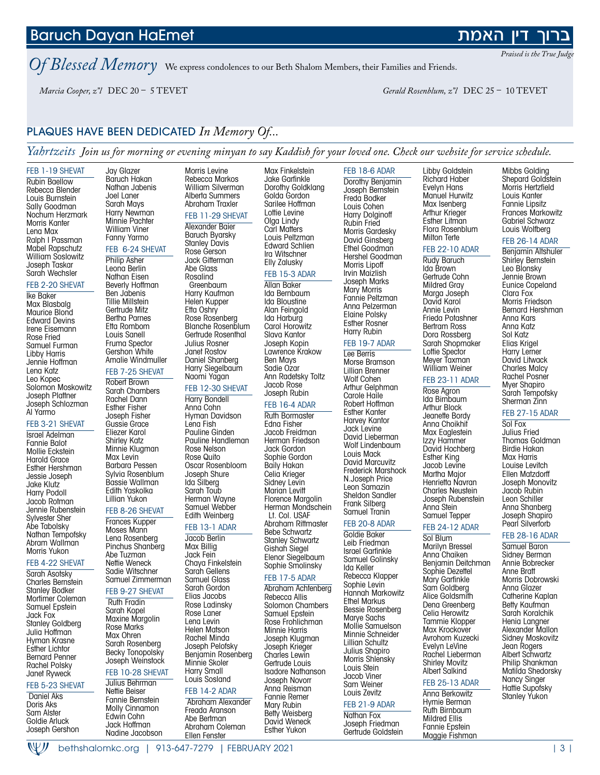#### W) bethshalomkc.org | 913-647-7279 | FEBRUARY 2021 | 3 |

Baruch Dayan HaEmet

*Of Blessed Memory* We express condolences to our Beth Shalom Members, their Families and Friends.

Morris Levine Rebecca Markos William Silverman Alberta Summers Abraham Traxler FEB 11-29 SHEVAT Alexander Baier Baruch Byarsky Stanley Davis Rose Gerson Jack Gitterman Abe Glass Rosalind **Greenbaum** 

*Marcia Cooper, z"l* DEC 20 – 5 TEVET *Gerald Rosenblum, z"l* DEC 25 – 10 TEVET

Jay Glazer Baruch Hakan Nathan Jabenis

#### PLAQUES HAVE BEEN DEDICATED *In Memory Of...*

*Yahrtzeits Join us for morning or evening minyan to say Kaddish for your loved one. Check our website for service schedule.*

FEB 1-19 SHEVAT Rubin Baellow Rebecca Blender Louis Burnstein Sally Goodman Nochum Herzmark Morris Kanter Lena Max Ralph I Passman Mabel Rapschutz William Soslowitz Joseph Taskar Sarah Wechsler

#### FEB 2-20 SHEVAT

Ike Baker Max Blasbalg Maurice Blond Edward Devins Irene Eisemann Rose Fried Samuel Furman Libby Harris Jennie Hoffman Lena Katz Leo Kopec Solomon Moskowitz Joseph Plattner Joseph Schlozman Al Yarmo

#### FEB 3-21 SHEVAT

Israel Adelman Fannie Balot Mollie Eckstein Harold Grace Esther Hershman Jessie Joseph Jake Klutz Harry Podoll Jacob Rotman Jennie Rubenstein Sylvester Sher Abe Tabolsky Nathan Tempofsky Abram Wallman Morris Yukon

#### FEB 4-22 SHEVAT

Sarah Asotsky Charles Bernstein Stanley Bodker Mortimer Coleman Samuel Epstein Jack Fox Stanley Goldberg Julia Hoffman Hyman Krasne Esther Lichtor Bernard Penner Rachel Polsky Janet Ryweck

#### FEB 5-23 SHEVAT

 Daniel Aks Doris Aks Sam Alster Goldie Arluck Joseph Gershon

Joel Laner Sarah Mays Harry Newman Minnie Pachter William Viner Fanny Yarmo FEB 6-24 SHEVAT Philip Asher Leona Berlin Nathan Eisen Beverly Hoffman Ben Jabenis Tillie Millstein Gertrude Mitz Bertha Parnes Etta Rombom Louis Sanell Fruma Spector Gershon White Amalie Windmuller

#### FEB 7-25 SHEVAT Robert Brown

Sarah Chambers Rachel Dann Esther Fisher Joseph Fisher Gussie Grace Eliezer Karol Shirley Katz Minnie Klugman Max Levin Barbara Pessen Sylvia Rosenblum Bassie Wallman Edith Yaskolka Lillian Yukon

#### FEB 8-26 SHEVAT

Frances Kupper Moses Mann Lena Rosenberg Pinchus Shanberg Abe Tuzman Nettie Weneck Sadie Witschner Samuel Zimmerman FEB 9-27 SHEVAT Ruth Fradin

#### Sarah Kopel

Maxine Margolin Rose Marks Max Ohren Sarah Rosenberg Becky Tonopolsky Joseph Weinstock FEB 10-28 SHEVAT

#### Julius Behrman Nettie Beiser Fannie Bernstein Molly Cinnamon Edwin Cohn Jack Hoffman Nadine Jacobson

Harry Kaufman Helen Kupper Etta Oshry Rose Rosenberg Blanche Rosenblum Gertrude Rosenthal Julius Rosner Janet Rostov Daniel Shanberg Harry Siegelbaum Naomi Yagan FEB 12-30 SHEVAT Harry Bondell Anna Cohn

Hyman Davidson Lena Fish Pauline Ginden Pauline Handleman Rose Nelson Rose Quito Oscar Rosenbloom Joseph Shure Ida Silberg Sarah Toub Herman Wayne Samuel Webber Edith Weinberg FEB 13-1 ADAR

#### Jacob Berlin

Max Billig Jack Fein Chaya Finkelstein Sarah Gellens Samuel Glass Sarah Gordon Elias Jacobs Rose Ladinsky Rose Laner Lena Levin Helen Matson Rachel Minda Joseph Pelofsky Benjamin Rosenberg Minnie Skoler Harry Small

#### FEB 14-2 ADAR Freada Aranson Abe Bertman

Ellen Fenster

Louis Sosland Abraham Alexander Abraham Coleman

Max Finkelstein Jake Garfinkle Dorothy Goldklang Golda Gordon Sarilee Hoffman Lottie Levine Olga Lindy Carl Matters Louis Peltzman Edward Schlien Ira Witschner Elly Zalusky

#### FEB 15-3 ADAR

Allan Baker Ida Bernbaum Ida Bloustine Alan Feingold Ida Harburg Carol Horowitz Slava Kantor Joseph Kopin Lawrence Krakow Ben Mays Sadie Ozar Ann Radetsky Toltz Jacob Rose Joseph Rubin

#### FEB 16-4 ADAR

Ruth Bormaster Edna Fisher Jacob Freidman Herman Friedson Jack Gordon Sophie Gordon Baily Hakan Celia Krieger Sidney Levin Marian Levitt Florence Margolin Herman Mondschein Lt. Col. USAF Abraham Rittmaster Bebe Schwartz Stanley Schwartz Gishah Siegel Elenor Siegelbaum

#### Sophie Smolinsky FEB 17-5 ADAR

Abraham Achtenberg Rebecca Allis Solomon Chambers Samuel Epstein Rose Frohlichman Minnie Harris Joseph Klugman Joseph Krieger Charles Lewin Gertrude Louis Isadore Nathanson Joseph Novorr Anna Reisman Fannie Remer Mary Rubin Betty Weisberg David Weneck Esther Yukon

Dorothy Benjamin Joseph Bernstein Freda Bodker Louis Cohen Harry Dolginoff Rubin Fried Morris Gardesky David Ginsberg Ethel Goodman Hershel Goodman Morris Lipoff Irvin Maizlish Joseph Marks Mary Morris Fannie Peltzman Anna Pelzerman Elaine Polsky Esther Rosner Harry Rubin

FEB 18-6 ADAR

#### FEB 19-7 ADAR

Lee Berris Morse Bramson Lillian Brenner Wolf Cohen Arthur Gelphman Carole Haile Robert Hoffman Esther Kanter Harvey Kantor Jack Levine David Lieberman Wolf Lindenbaum Louis Mack David Marcuvitz Frederick Marshock N.Joseph Price Leon Samazin Sheldon Sandler Frank Silberg Samuel Tranin

#### FEB 20-8 ADAR

Goldie Baker Leib Friedman Israel Garfinkle Samuel Golinsky Ida Keller Rebecca Klapper Sophie Levin Hannah Markowitz Ethel Markus Bessie Rosenberg Marye Sachs Mollie Samuelson Minnie Schneider Lillian Schultz Julius Shapiro Morris Shlensky Louis Stein Jacob Viner Sam Weiner Louis Zevitz FEB 21-9 ADAR

#### Nathan Fox Joseph Friedman Gertrude Goldstein

Libby Goldstein Richard Haber Evelyn Hans Manuel Hurwitz Max Isenberg Arthur Krieger Esther Litman Flora Rosenblum Milton Terte

#### FEB 22-10 ADAR

Rudy Baruch Ida Brown Gertrude Cohn Mildred Gray Marga Joseph David Karol Annie Levin Frieda Potashner Bertram Ross Dora Rossberg Sarah Shopmaker Lottie Spector Meyer Taxman

#### William Weiner FEB 23-11 ADAR

Rose Agron Ida Birnbaum Arthur Block Jeanette Bordy Anna Choikhit Max Eaglestein Izzy Hammer David Hochberg Esther King Jacob Levine Martha Major Henrietta Navran Charles Neustein Joseph Rubenstein Anna Stein Samuel Tepper

#### FEB 24-12 ADAR

Sol Blum Marilyn Bressel Anna Chaiken Benjamin Deitchman Sophie Dezettel Mary Garfinkle Sam Goldberg Alice Goldsmith Dena Greenberg Celia Herowitz Tammie Klopper Max Krockover Avrohom Kuzecki Evelyn LeVine Rachel Lieberman Shirley Movitz Albert<sup>'</sup>Salkind FEB 25-13 ADAR

#### Anna Berkowitz

Hymie Berman Ruth Birnbaum

Mildred Ellis Fannie Epstein Maggie Fishman

Mibbs Golding Shepard Goldstein Morris Hertzfield Louis Kanter Fannie Lipsitz Frances Markowitz Gabriel Schwarz Louis Wolfberg

#### FEB 26-14 ADAR

Benjamin Altshuler Shirley Bernstein Leo Blonsky Jennie Brown Eunice Copeland Clara Fox Morris Friedson Bernard Hershman Anna Kars Anna Katz Sol Katz Elias Krigel Harry Lerner David Litwack Charles Malcy Rachel Posner Myer Shapiro Sarah Tempofsky Sherman Zinn

#### FEB 27-15 ADAR

Sol Fox Julius Fried Thomas Goldman Birdie Hakan Max Harris Louise Levitch Ellen Matzdorff Joseph Monovitz Jacob Rubin Leon Schiller Anna Shanberg Joseph Shapiro Pearl Silverforb

#### FEB 28-16 ADAR

Samuel Baron Sidney Berman Annie Bobrecker Anne Bratt Morris Dobrowski Anna Glazer Catherine Kaplan Betty Kaufman Sarah Koralchik Henia Langner Alexander Mallon Sidney Moskovitz Jean Rogers Albert Schwartz Philip Shankman Matilda Shedorsky Nancy Singer Hattie Supofsky Stanley Yukon

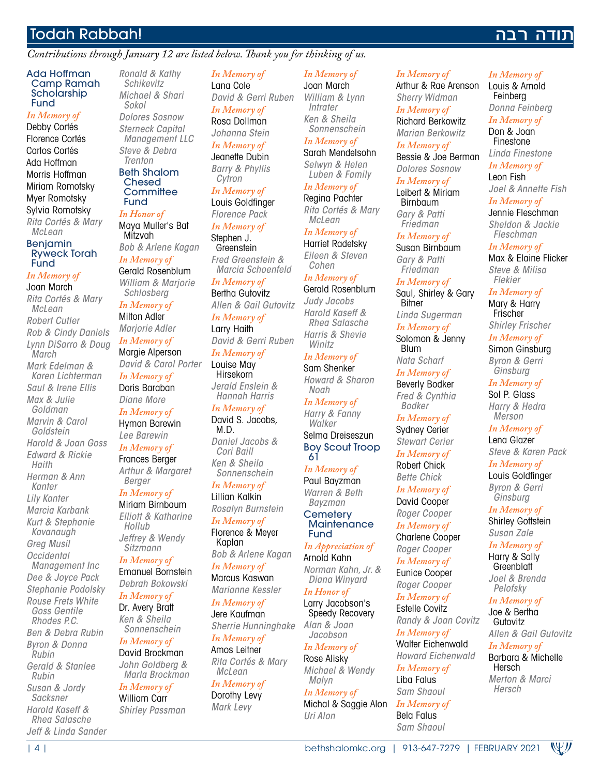## Todah Rabbah!

#### *Contributions through January 12 are listed below. Thank you for thinking of us.*

#### Ada Hoffman Camp Ramah Scholarship Fund

*In Memory of* Debby Cortés Florence Cortés Carlos Cortés Ada Hoffman Morris Hoffman Miriam Romotsky Myer Romotsky Sylvia Romotsky *Rita Cortés & Mary McLean* **Benjamin** Ryweck Torah Fund *In Memory of* Joan March *Rita Cortés & Mary McLean Robert Cutler Rob & Cindy Daniels Lynn DiSarro & Doug March Mark Edelman & Karen Lichterman Saul & Irene Ellis Max & Julie Goldman Marvin & Carol Goldstein Harold & Joan Goss Edward & Rickie Haith Herman & Ann Kanter Lily Kanter Marcia Karbank Kurt & Stephanie Kavanaugh Greg Musil Occidental Management Inc Dee & Joyce Pack Stephanie Podolsky Rouse Frets White Goss Gentile Rhodes P.C. Ben & Debra Rubin Byron & Donna Rubin Gerald & Stanlee Rubin Susan & Jordy* 

| 4 | bethshalomkc.org | 913-647-7279 | FEBRUARY 2021 *Sacksner Harold Kaseff & Rhea Salasche Jeff & Linda Sander*

*Ronald & Kathy Schikevitz Michael & Shari Sokol Dolores Sosnow Sterneck Capital Management LLC Steve & Debra Trenton* Beth Shalom Chesed **Committee** 

#### Fund *In Honor of* Maya Muller's Bat Mitzvah

*Bob & Arlene Kagan*

*In Memory of* Gerald Rosenblum *William & Marjorie* 

*Schlosberg In Memory of* Milton Adler *Marjorie Adler In Memory of* Margie Alperson *David & Carol Porter In Memory of*

Doris Baraban *Diane More*

*In Memory of* Hyman Barewin *Lee Barewin*

*In Memory of* Frances Berger *Arthur & Margaret Berger*

#### *In Memory of*

Miriam Birnbaum *Elliott & Katharine Hollub Jeffrey & Wendy Sitzmann*

*In Memory of* Emanuel Bornstein *Debrah Bokowski*

*In Memory of* Dr. Avery Bratt *Ken & Sheila Sonnenschein*

#### *In Memory of* David Brockman

*John Goldberg & Marla Brockman*

*In Memory of* William Carr *Shirley Passman* *In Memory of* Lana Cole *David & Gerri Ruben In Memory of* Rosa Dollman *Johanna Stein*

*In Memory of* Jeanette Dubin *Barry & Phyllis* 

*Cytron In Memory of* Louis Goldfinger *Florence Pack*

*In Memory of* Stephen J. **Greenstein** *Fred Greenstein & Marcia Schoenfeld*

#### *In Memory of*

Bertha Gutovitz *Allen & Gail Gutovitz In Memory of* Larry Haith *David & Gerri Ruben*

*In Memory of* Louise May **Hirsekorn** *Jerald Enslein & Hannah Harris*

*In Memory of* David S. Jacobs, M.D.

*Daniel Jacobs & Cori Baill Ken & Sheila Sonnenschein*

*In Memory of* Lillian Kalkin *Rosalyn Burnstein In Memory of*

Florence & Meyer Kaplan

*Bob & Arlene Kagan In Memory of* Marcus Kaswan

*Marianne Kessler In Memory of* Jere Kaufman

*Sherrie Hunninghake In Memory of*

Amos Leitner *Rita Cortés & Mary McLean*

*In Memory of* Dorothy Levy *Mark Levy*

#### *In Memory of* Joan March

*William & Lynn Intrater Ken & Sheila Sonnenschein In Memory of*

Sarah Mendelsohn *Selwyn & Helen* 

*Luben & Family In Memory of* Regina Pachter

*Rita Cortés & Mary McLean*

*In Memory of* Harriet Radetsky *Eileen & Steven* 

*Cohen*

#### *In Memory of* Gerald Rosenblum *Judy Jacobs*

*Harold Kaseff & Rhea Salasche Harris & Shevie Winitz*

#### *In Memory of* Sam Shenker

*Howard & Sharon Noah In Memory of*

*Harry & Fanny Walker* Selma Dreiseszun Boy Scout Troop 61

#### *In Memory of* Paul Bayzman *Warren & Beth*

*Bayzman* **Cemetery Maintenance** 

Fund *In Appreciation of*

Arnold Kahn *Norman Kahn, Jr. & Diana Winyard*

*In Honor of* Larry Jacobson's Speedy Recovery

*Alan & Joan Jacobson*

#### *In Memory of* Rose Alisky *Michael & Wendy*

*Malyn In Memory of* Michal & Saggie Alon *Uri Alon*

#### *In Memory of*

Arthur & Rae Arenson *Sherry Widman In Memory of* Richard Berkowitz *Marian Berkowitz In Memory of*

Bessie & Joe Berman *Dolores Sosnow*

*In Memory of* Leibert & Miriam Birnbaum *Gary & Patti Friedman*

*In Memory of* Susan Birnbaum *Gary & Patti Friedman*

*In Memory of*

Saul, Shirley & Gary **Bitner** 

*Linda Sugerman In Memory of*

Solomon & Jenny Blum *Nata Scharf*

*In Memory of*

Beverly Bodker *Fred & Cynthia Bodker*

*In Memory of* Sydney Cerier *Stewart Cerier In Memory of*

Robert Chick *Bette Chick*

*In Memory of* David Cooper

*Roger Cooper In Memory of* Charlene Cooper *Roger Cooper*

*In Memory of* Eunice Cooper *Roger Cooper*

*In Memory of* Estelle Covitz *Randy & Joan Covitz*

*In Memory of* Walter Eichenwald

*Howard Eichenwald*

#### *In Memory of* Liba Falus *Sam Shaoul*

*In Memory of* Bela Falus

*Sam Shaoul*

#### *In Memory of*

תודה רבה

Louis & Arnold Feinberg *Donna Feinberg*

*In Memory of* Don & Joan

Finestone

*Linda Finestone In Memory of*

Leon Fish *Joel & Annette Fish*

#### *In Memory of* Jennie Fleschman *Sheldon & Jackie Fleschman*

*In Memory of* Max & Elaine Flicker *Steve & Milisa Flekier*

#### *In Memory of*

Mary & Harry Frischer *Shirley Frischer*

*In Memory of* Simon Ginsburg *Byron & Gerri Ginsburg*

#### *In Memory of*

Sol P. Glass *Harry & Hedra Merson*

#### *In Memory of*

Lena Glazer *Steve & Karen Pack*

#### *In Memory of* Louis Goldfinger

*Byron & Gerri Ginsburg*

#### *In Memory of* Shirley Gottstein

*Susan Zale*

*In Memory of* Harry & Sally **Greenblatt** 

*Joel & Brenda Pelofsky*

#### *In Memory of* Joe & Bertha **Gutovitz**

Hersch *Merton & Marci Hersch*

*Allen & Gail Gutovitz In Memory of* Barbara & Michelle

WIJ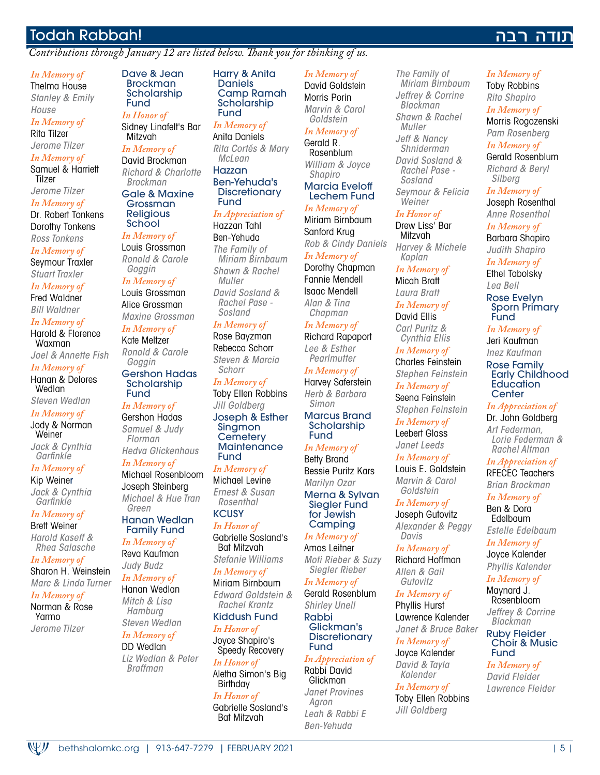## Todah Rabbah!

*Contributions through January 12 are listed below. Thank you for thinking of us.*

#### *In Memory of*

Thelma House *Stanley & Emily House*

#### *In Memory of* Rita Tilzer

*Jerome Tilzer*

*In Memory of* Samuel & Harriett Tilzer

*Jerome Tilzer In Memory of*

Dr. Robert Tonkens Dorothy Tonkens *Ross Tonkens*

*In Memory of*

Seymour Traxler *Stuart Traxler*

*In Memory of* Fred Waldner *Bill Waldner*

*In Memory of* Harold & Florence

Waxman *Joel & Annette Fish*

*In Memory of* Hanan & Delores

**Wedlan** *Steven Wedlan*

*In Memory of*

Jody & Norman Weiner *Jack & Cynthia* 

*Garfinkle*

*In Memory of* Kip Weiner *Jack & Cynthia Garfinkle*

*In Memory of*

Brett Weiner *Harold Kaseff & Rhea Salasche*

*In Memory of* Sharon H. Weinstein

*Marc & Linda Turner In Memory of*

Norman & Rose Yarmo *Jerome Tilzer*

WJJ

#### Dave & Jean Brockman Scholarship Fund *In Honor of*

Sidney Linafelt's Bar **Mitzvah** 

#### *In Memory of*

David Brockman *Richard & Charlotte Brockman*

Gale & Maxine Grossman Religious School

#### *In Memory of*

Louis Grossman *Ronald & Carole Goggin*

#### *In Memory of*

Louis Grossman Alice Grossman *Maxine Grossman*

*In Memory of* Kate Meltzer *Ronald & Carole Goggin*

Gershon Hadas Scholarship Fund

#### *In Memory of* Gershon Hadas

*Samuel & Judy Florman Hedva Glickenhaus*

#### *In Memory of* Michael Rosenbloom

Joseph Steinberg *Michael & Hue Tran Green*

#### Hanan Wedlan Family Fund

*In Memory of* Reva Kaufman *Judy Budz*

*In Memory of* Hanan Wedlan *Mitch & Lisa Hamburg Steven Wedlan*

#### *In Memory of* DD Wedlan *Liz Wedlan & Peter*

*Braffman*

Harry & Anita Daniels Camp Ramah **Scholarship** Fund

*In Memory of* Anita Daniels *Rita Cortés & Mary McLean* Hazzan Ben-Yehuda's

#### **Discretionary** Fund

*In Appreciation of* Hazzan Tahl

Ben-Yehuda *The Family of Miriam Birnbaum Shawn & Rachel Muller David Sosland & Rachel Pase - Sosland*

#### *In Memory of*

Rose Bayzman Rebecca Schorr *Steven & Marcia Schorr*

*In Memory of* Toby Ellen Robbins *Jill Goldberg* Joseph & Esther

Singmon **Cemetery Maintenance** Fund

#### *In Memory of* Michael Levine *Ernest & Susan Rosenthal*

**KCUSY** *In Honor of* Gabrielle Sosland's

Bat Mitzvah *Stefanie Williams*

*In Memory of* Miriam Birnbaum *Edward Goldstein & Rachel Krantz*

Kiddush Fund *In Honor of*

Joyce Shapiro's Speedy Recovery

*In Honor of* Aletha Simon's Big **Birthday** *In Honor of* Gabrielle Sosland's

Bat Mitzvah

*In Memory of* David Goldstein Morris Porin *Marvin & Carol* 

#### *Goldstein In Memory of*

Gerald R. Rosenblum *William & Joyce Shapiro* Marcia Eveloff

Lechem Fund *In Memory of*

#### Miriam Birnbaum Sanford Krug *Rob & Cindy Daniels In Memory of* Dorothy Chapman Fannie Mendell

Isaac Mendell *Alan & Tina Chapman*

#### *In Memory of* Richard Rapaport

*Lee & Esther Pearlmutter In Memory of* Harvey Saferstein

*Herb & Barbara Simon* Marcus Brand

Scholarship Fund

*In Memory of* Betty Brand Bessie Puritz Kars *Marilyn Ozar* Merna & Sylvan Siegler Fund for Jewish

#### **Camping** *In Memory of* Amos Leitner

*Moti Rieber & Suzy Siegler Rieber*

#### *In Memory of* Gerald Rosenblum

*Shirley Unell* Rabbi Glickman's **Discretionary** Fund

#### *In Appreciation of* Rabbi David

Glickman *Janet Provines Agron Leah & Rabbi E Ben-Yehuda*

bethshalomkc.org | 913-647-7279 | FEBRUARY 2021 | 5 |

*The Family of Miriam Birnbaum Jeffrey & Corrine Blackman Shawn & Rachel Muller Jeff & Nancy Shniderman David Sosland & Rachel Pase - Sosland Seymour & Felicia Weiner*

#### *In Honor of*

Drew Liss' Bar Mitzvah *Harvey & Michele Kaplan*

*In Memory of* Micah Bratt

*Laura Bratt In Memory of*

David Ellis *Carl Puritz & Cynthia Ellis*

*In Memory of* Charles Feinstein *Stephen Feinstein*

*In Memory of* Seena Feinstein *Stephen Feinstein*

*In Memory of* Leebert Glass *Janet Leeds*

*In Memory of* Louis E. Goldstein

*Marvin & Carol Goldstein*

*In Memory of* Joseph Gutovitz *Alexander & Peggy Davis*

*In Memory of* Richard Hoffman *Allen & Gail Gutovitz*

*In Memory of* Phyllis Hurst Lawrence Kalender *Janet & Bruce Baker*

*In Memory of* Joyce Kalender

*David & Tayla Kalender*

#### *In Memory of* Toby Ellen Robbins *Jill Goldberg*

*In Memory of*

נודה רבה

Toby Robbins *Rita Shapiro In Memory of* Morris Rogozenski

*Pam Rosenberg In Memory of* Gerald Rosenblum

*Richard & Beryl Silberg*

*In Memory of* Joseph Rosenthal *Anne Rosenthal*

*In Memory of* Barbara Shapiro *Judith Shapiro In Memory of* Ethel Tabolsky *Lea Bell* Rose Evelyn Sporn Primary

**Fund** *In Memory of* Jeri Kaufman *Inez Kaufman* Rose Family Early Childhood **Education Center** *In Appreciation of* Dr. John Goldberg *Art Federman, Lorie Federman & Rachel Altman In Appreciation of* RFECEC Teachers *Brian Brockman In Memory of* Ben & Dora Edelbaum *Estelle Edelbaum In Memory of* Joyce Kalender *Phyllis Kalender In Memory of* Maynard J. Rosenbloom *Jeffrey & Corrine Blackman* Ruby Fleider Choir & Music

Fund *In Memory of David Fleider Lawrence Fleider*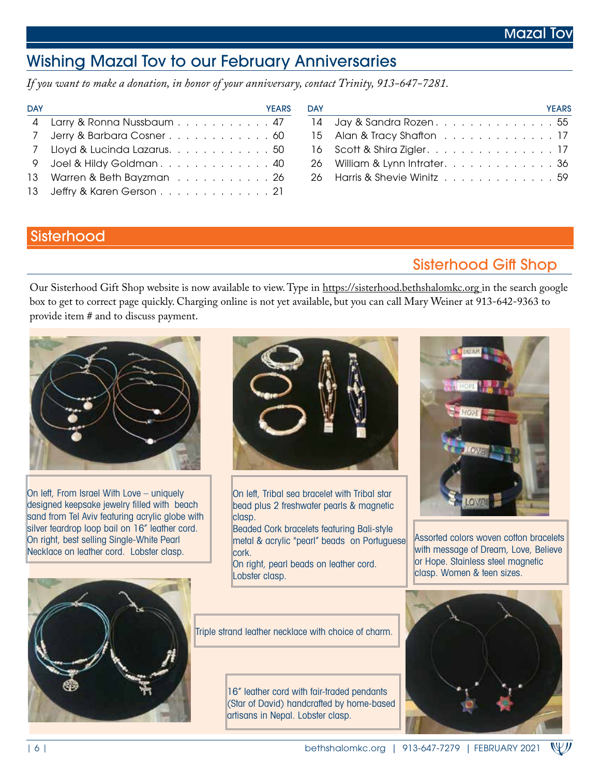# Wishing Mazal Tov to our February Anniversaries

*If you want to make a donation, in honor of your anniversary, contact Trinity, 913-647-7281.*

| <b>DAY</b> | <b>YEARS</b>                                                                                                   | <b>DAY</b> | <b>YEARS</b>                 |
|------------|----------------------------------------------------------------------------------------------------------------|------------|------------------------------|
|            | 4 Larry & Ronna Nussbaum 47 14 Jay & Sandra Rozen 55                                                           |            |                              |
|            | 7 Jerry & Barbara Cosner 60 15 Alan & Tracy Shaffon 17                                                         |            |                              |
|            | 7 Lloyd & Lucinda Lazarus. 50                                                                                  |            | 16 Scott & Shira Zigler. 17  |
|            | 9 Joel & Hildy Goldman 40                                                                                      |            | 26 William & Lynn Intrater36 |
|            | 13 Warren & Beth Bayzman et also et also et also et also et also et also et also et also et also et also et al |            |                              |
|            | 13 Jeffry & Karen Gerson21                                                                                     |            |                              |

| <b>YAC</b> |                              |  |  |  |  |  |  | <b>YEARS</b> |
|------------|------------------------------|--|--|--|--|--|--|--------------|
|            | 14 Jay & Sandra Rozen. 55    |  |  |  |  |  |  |              |
|            | 15 Alan & Tracy Shafton 17   |  |  |  |  |  |  |              |
|            | 16 Scott & Shira Zigler. 17  |  |  |  |  |  |  |              |
|            | 26 William & Lynn Intrater36 |  |  |  |  |  |  |              |
|            | 26 Harris & Shevie Winitz 59 |  |  |  |  |  |  |              |
|            |                              |  |  |  |  |  |  |              |

#### **Sisterhood**

# Sisterhood Gift Shop

Our Sisterhood Gift Shop website is now available to view. Type in https://sisterhood.bethshalomkc.org in the search google box to get to correct page quickly. Charging online is not yet available, but you can call Mary Weiner at 913-642-9363 to provide item # and to discuss payment.

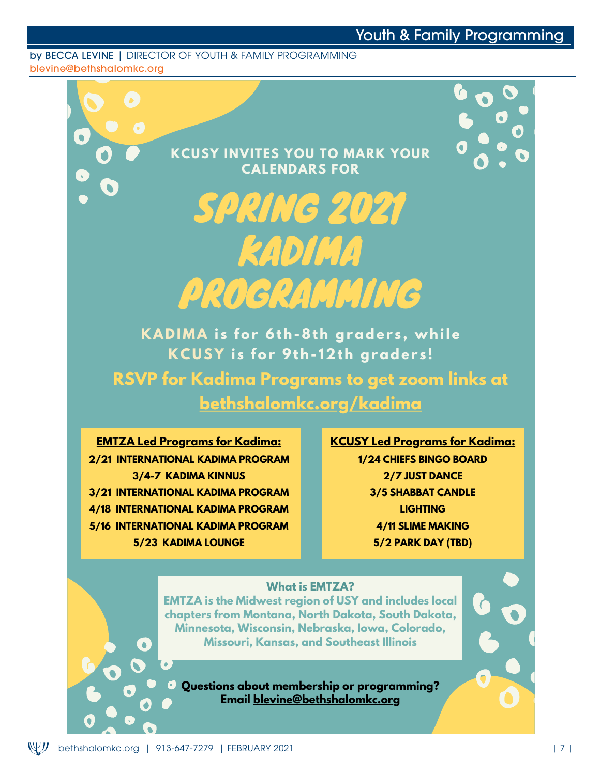#### by BECCA LEVINE | DIRECTOR OF YOUTH & FAMILY PROGRAMMING blevine@bethshalomkc.org

**KCUSY INVITES YOU TO MARK YOUR CALENDARS FOR**

# SPRING 2021 KADIMA PROGRAMMING

**KAD IMA i s for 6th-8th grader s , while KCU S Y i s for 9th- 12th grader s !**

**RSVP for Kadima Programs to get zoom links at bethshalomkc.org/kadima**

**EMTZA Led Programs for Kadima: 2/21 INTERNATIONAL KADIMA PROGRAM 3/4-7 KADIMA KINNUS 3/21 INTERNATIONAL KADIMA PROGRAM 4/18 INTERNATIONAL KADIMA PROGRAM 5/16 INTERNATIONAL KADIMA PROGRAM 5/23 KADIMA LOUNGE**

**KCUSY Led Programs for Kadima: 1/24 CHIEFS BINGO BOARD 2/7 JUST DANCE 3/5 SHABBAT CANDLE LIGHTING 4/11 SLIME MAKING 5/2 PARK DAY (TBD)**

#### **What is EMTZA?**

**EMTZA is the Midwest region of USY and includes local chapters from Montana, North Dakota, South Dakota, Minnesota, Wisconsin, Nebraska, Iowa, Colorado, Missouri, Kansas, and Southeast Illinois**

**Questions about membership or programming? Email blevine@bethshalomkc.org**